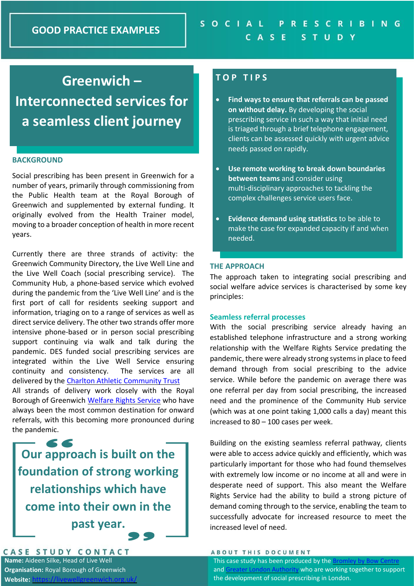# **Greenwich – Interconnected services for**

**a seamless client journey**

## **BACKGROUND**

Social prescribing has been present in Greenwich for a number of years, primarily through commissioning from the Public Health team at the Royal Borough of Greenwich and supplemented by external funding. It originally evolved from the Health Trainer model, moving to a broader conception of health in more recent years.

Currently there are three strands of activity: the Greenwich Community Directory, the Live Well Line and the Live Well Coach (social prescribing service). The Community Hub, a phone-based service which evolved during the pandemic from the 'Live Well Line' and is the first port of call for residents seeking support and information, triaging on to a range of services as well as direct service delivery. The other two strands offer more intensive phone-based or in person social prescribing support continuing via walk and talk during the pandemic. DES funded social prescribing services are integrated within the Live Well Service ensuring continuity and consistency. The services are all delivered by the [Charlton Athletic Community Trust](https://cact.org.uk/) All strands of delivery work closely with the Royal

Borough of Greenwich [Welfare Rights Service](https://www.royalgreenwich.gov.uk/info/200246/benefits_advice/420/welfare_rights_service) who have always been the most common destination for onward referrals, with this becoming more pronounced during the pandemic.

**Our approach is built on the foundation of strong working relationships which have come into their own in the past year.**

# CASE STUDY CONTACT

**Name:** Aideen Silke, Head of Live Well **Organisation:** Royal Borough of Greenwich **Website: https://livewellgreen.org.uk/** 

# **T O P T I P S**

- **Find ways to ensure that referrals can be passed on without delay.** By developing the social prescribing service in such a way that initial need is triaged through a brief telephone engagement, clients can be assessed quickly with urgent advice needs passed on rapidly.
- **Use remote working to break down boundaries between teams** and consider using multi-disciplinary approaches to tackling the complex challenges service users face.
- **Evidence demand using statistics** to be able to make the case for expanded capacity if and when needed.

## **THE APPROACH**

The approach taken to integrating social prescribing and social welfare advice services is characterised by some key principles:

#### **Seamless referral processes**

With the social prescribing service already having an established telephone infrastructure and a strong working relationship with the Welfare Rights Service predating the pandemic, there were already strong systems in place to feed demand through from social prescribing to the advice service. While before the pandemic on average there was one referral per day from social prescribing, the increased need and the prominence of the Community Hub service (which was at one point taking 1,000 calls a day) meant this increased to 80 – 100 cases per week.

Building on the existing seamless referral pathway, clients were able to access advice quickly and efficiently, which was particularly important for those who had found themselves with extremely low income or no income at all and were in desperate need of support. This also meant the Welfare Rights Service had the ability to build a strong picture of demand coming through to the service, enabling the team to successfully advocate for increased resource to meet the increased level of need.

#### **ABOUT THIS DOCUMENT**

This case study has been produced by th[e Bromley by Bow Centre](https://www.bbbc.org.uk/) and [Greater London Authority](https://www.london.gov.uk/what-we-do/health/social-prescribing) who are working together to support the development of social prescribing in London.